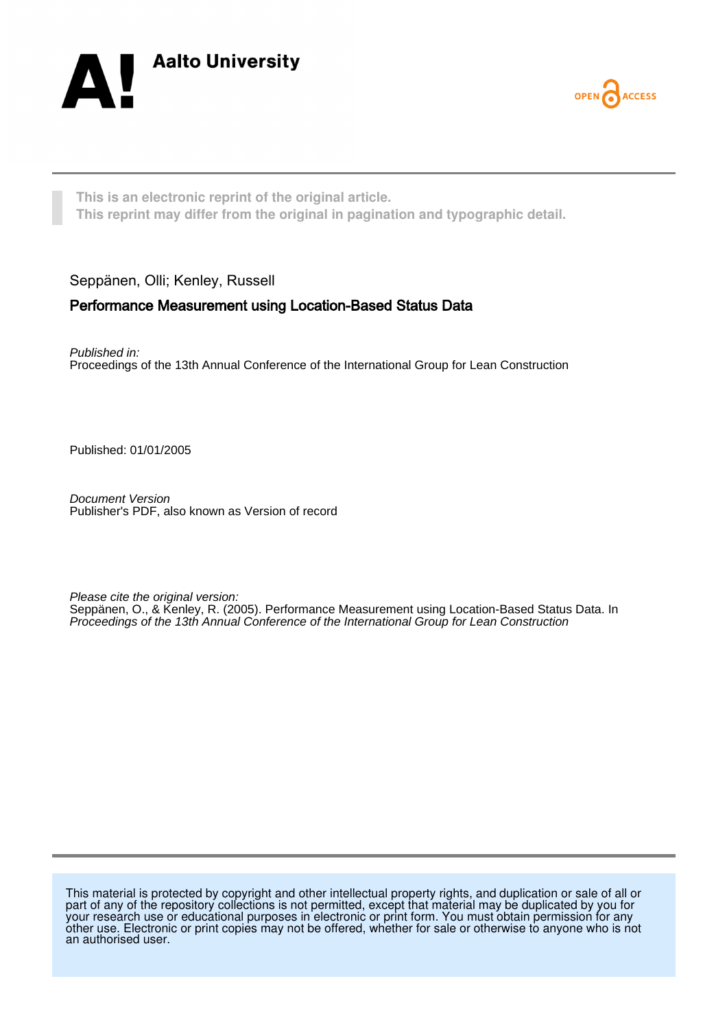



**This is an electronic reprint of the original article. This reprint may differ from the original in pagination and typographic detail.**

### Seppänen, Olli; Kenley, Russell

### Performance Measurement using Location-Based Status Data

Published in: Proceedings of the 13th Annual Conference of the International Group for Lean Construction

Published: 01/01/2005

Document Version Publisher's PDF, also known as Version of record

Please cite the original version: Seppänen, O., & Kenley, R. (2005). Performance Measurement using Location-Based Status Data. In Proceedings of the 13th Annual Conference of the International Group for Lean Construction

This material is protected by copyright and other intellectual property rights, and duplication or sale of all or part of any of the repository collections is not permitted, except that material may be duplicated by you for your research use or educational purposes in electronic or print form. You must obtain permission for any other use. Electronic or print copies may not be offered, whether for sale or otherwise to anyone who is not an authorised user.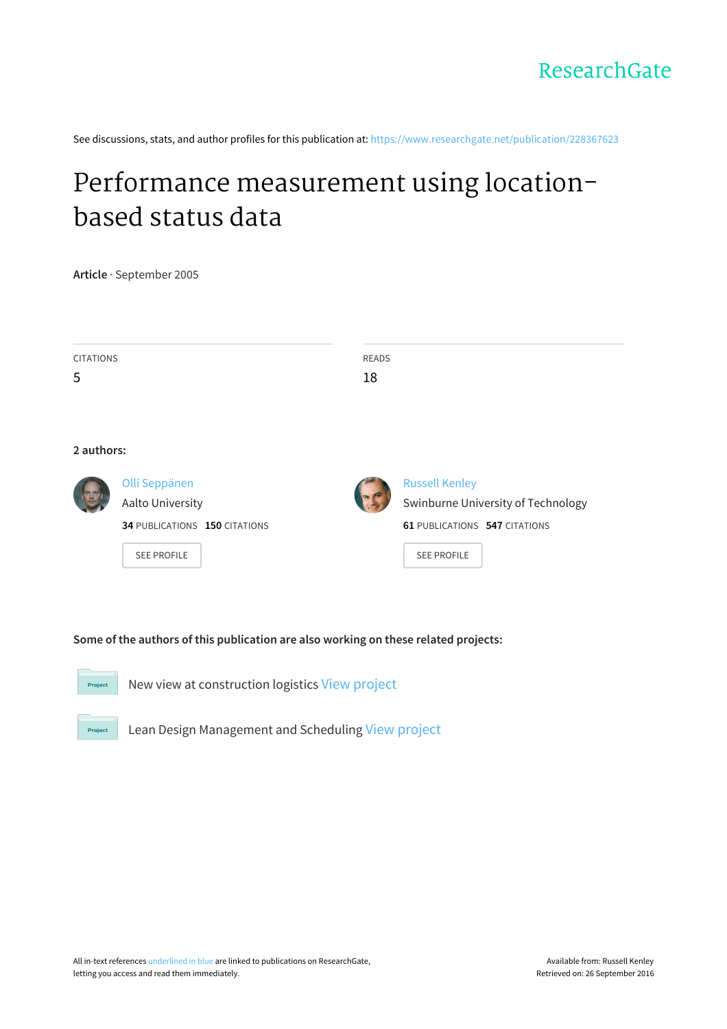See discussions, stats, and author profiles for this publication at: [https://www.researchgate.net/publication/228367623](https://www.researchgate.net/publication/228367623_Performance_measurement_using_location-based_status_data?enrichId=rgreq-7d77529c3fe32bd5a55ccbb1b3416789-XXX&enrichSource=Y292ZXJQYWdlOzIyODM2NzYyMztBUzo5OTkyNjUwMzU5MTk0NEAxNDAwODM1NzQ0MzM3&el=1_x_2)

# Performance [measurement](https://www.researchgate.net/publication/228367623_Performance_measurement_using_location-based_status_data?enrichId=rgreq-7d77529c3fe32bd5a55ccbb1b3416789-XXX&enrichSource=Y292ZXJQYWdlOzIyODM2NzYyMztBUzo5OTkyNjUwMzU5MTk0NEAxNDAwODM1NzQ0MzM3&el=1_x_3) using locationbased status data

**Article** · September 2005

| <b>CITATIONS</b><br>5 |                                                                                          | <b>READS</b><br>18 |                                                                                                                           |
|-----------------------|------------------------------------------------------------------------------------------|--------------------|---------------------------------------------------------------------------------------------------------------------------|
| 2 authors:            |                                                                                          |                    |                                                                                                                           |
|                       | Olli Seppänen<br>Aalto University<br>34 PUBLICATIONS 150 CITATIONS<br><b>SEE PROFILE</b> |                    | <b>Russell Kenley</b><br>Swinburne University of Technology<br><b>61 PUBLICATIONS 547 CITATIONS</b><br><b>SEE PROFILE</b> |

**Some of the authors of this publication are also working on these related projects:**



New view at construction logistics View [project](https://www.researchgate.net/project/New-view-at-construction-logistics?enrichId=rgreq-7d77529c3fe32bd5a55ccbb1b3416789-XXX&enrichSource=Y292ZXJQYWdlOzIyODM2NzYyMztBUzo5OTkyNjUwMzU5MTk0NEAxNDAwODM1NzQ0MzM3&el=1_x_9)



Lean Design Management and Scheduling View [project](https://www.researchgate.net/project/Lean-Design-Management-and-Scheduling?enrichId=rgreq-7d77529c3fe32bd5a55ccbb1b3416789-XXX&enrichSource=Y292ZXJQYWdlOzIyODM2NzYyMztBUzo5OTkyNjUwMzU5MTk0NEAxNDAwODM1NzQ0MzM3&el=1_x_9)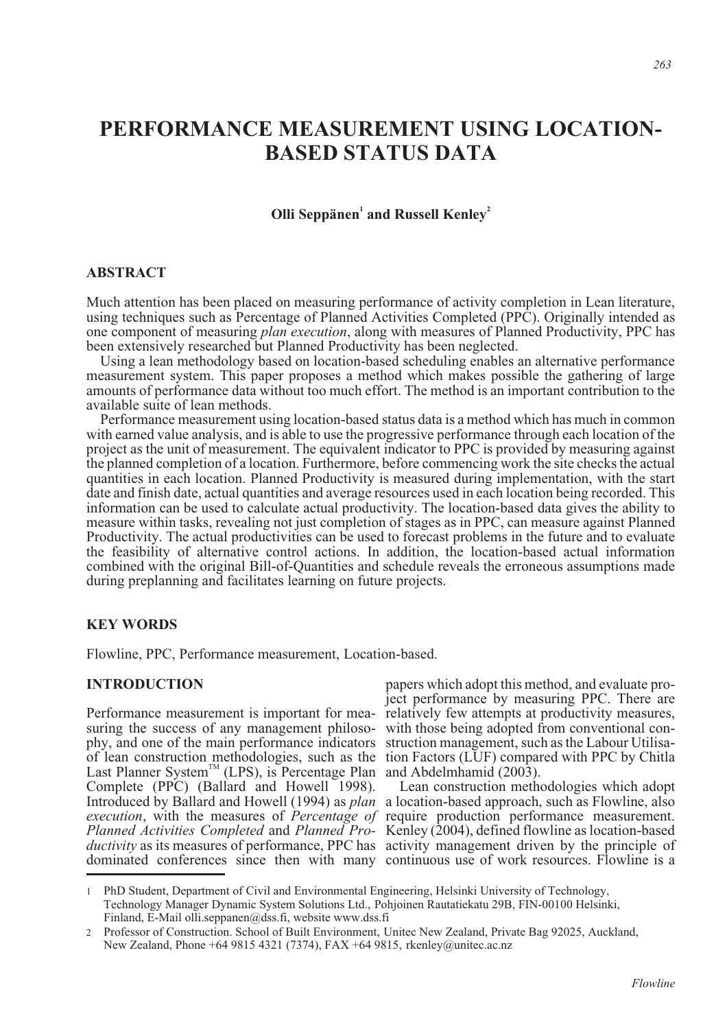## **PERFORMANCE MEASUREMENT USING LOCATION-BASED STATUS DATA**

### **Olli Seppänen<sup>1</sup> and Russell Kenley<sup>2</sup>**

### **ABSTRACT**

Much attention has been placed on measuring performance of activity completion in Lean literature, using techniques such as Percentage of Planned Activities Completed (PPC). Originally intended as one component of measuring *plan execution*, along with measures of Planned Productivity, PPC has been extensively researched but Planned Productivity has been neglected.

Using a lean methodology based on location-based scheduling enables an alternative performance measurement system. This paper proposes a method which makes possible the gathering of large amounts of performance data without too much effort. The method is an important contribution to the available suite of lean methods.

Performance measurement using location-based status data is a method which has much in common with earned value analysis, and is able to use the progressive performance through each location of the project as the unit of measurement. The equivalent indicator to PPC is provided by measuring against the planned completion of a location. Furthermore, before commencing work the site checks the actual quantities in each location. Planned Productivity is measured during implementation, with the start date and finish date, actual quantities and average resources used in each location being recorded. This information can be used to calculate actual productivity. The location-based data gives the ability to measure within tasks, revealing not just completion of stages as in PPC, can measure against Planned Productivity. The actual productivities can be used to forecast problems in the future and to evaluate the feasibility of alternative control actions. In addition, the location-based actual information combined with the original Bill-of-Quantities and schedule reveals the erroneous assumptions made during preplanning and facilitates learning on future projects.

### **KEY WORDS**

Flowline, PPC, Performance measurement, Location-based.

### **INTRODUCTION**

Performance measurement is important for mea- relatively few attempts at productivity measures, suring the success of any management philoso-with those being adopted from conventional conphy, and one of the main performance indicators struction management, such as the Labour Utilisaof lean construction methodologies, such as the tion Factors (LUF) compared with PPC by Chitla Last Planner System<sup>™</sup> (LPS), is Percentage Plan and Abdelmhamid (2003). Complete (PPC) (Ballard and Howell 1998). Introduced by Ballard and Howell (1994) as *plan* a location-based approach, such as Flowline, also *execution*, with the measures of *Percentage of* require production performance measurement. *Planned Activities Completed* and *Planned Pro-*Kenley (2004), defined flowline as location-based ductivity as its measures of performance, PPC has activity management driven by the principle of dominated conferences since then with many continuous use of work resources. Flowline is a

papers which adopt this method, and evaluate project performance by measuring PPC. There are

Lean construction methodologies which adopt

<sup>1</sup> PhD Student, Department of Civil and Environmental Engineering, Helsinki University of Technology, Technology Manager Dynamic System Solutions Ltd., Pohjoinen Rautatiekatu 29B, FIN-00100 Helsinki, Finland, E-Mail olli.seppanen@dss.fi, website www.dss.fi

<sup>2</sup> Professor of Construction. School of Built Environment, Unitec New Zealand, Private Bag 92025, Auckland, New Zealand, Phone +64 9815 4321 (7374), FAX +64 9815, rkenley@unitec.ac.nz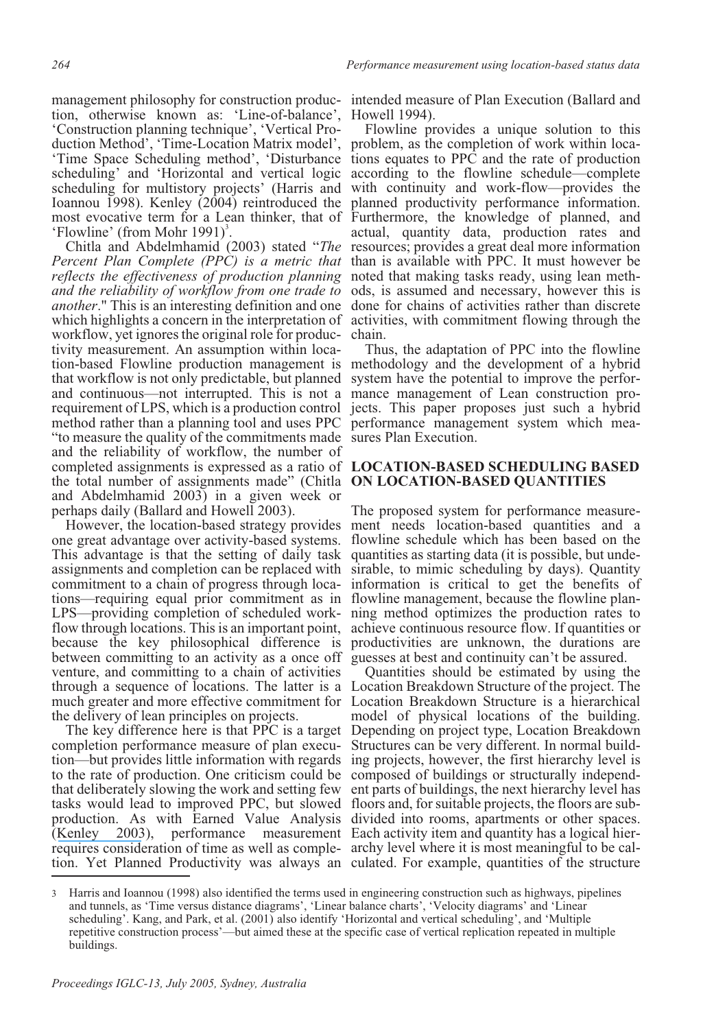management philosophy for construction produc- intended meas tion, otherwise known as: 'Line-of-balance', Howell 1994). 'Construction planning technique', 'Vertical Pro- duction Method', 'Time-Location Matrix model', duction Method', 'Time-Location Matrix model', problem, as the completion of work within loca-<br>'Time Space Scheduling method', 'Disturbance tions equates to PPC and the rate of production scheduling' and 'Horizontal and vertical logic scheduling for multistory projects' (Harris and Ioannou 1998). Kenley (2004) reintroduced the most evocative term for a Lean thinker, that of Furthermore, the knowledge of planned, and 'Flowline' (from Mohr 1991)<sup>3</sup>.

Chitla and Abdelmhamid (2003) stated "*The Percent Plan Complete (PPC) is a metric that reflects the effectiveness of production planning and the reliability of workflow from one trade to another*." This is an interesting definition and one which highlights a concern in the interpretation of activities, with commitment flowing through the workflow, yet ignores the original role for produc-chain.<br>
tivity measurement. An assumption within loca-<br>
Thus, the adaptation of PPC into the flowline<br>
tion-based Flowline production management is methodology and the dev that workflow is not only predictable, but planned and continuous—not interrupted. This is not a requirement of LPS, which is a production control method rather than a planning tool and uses PPC "to measure the quality of the commitments made and the reliability of workflow, the number of completed assignments is expressed as a ratio of **LOCATION-BASED SCHEDULING BASED** the total number of assignments made" (Chitla **ON LOCATION-BASED QUANTITIES** and Abdelmhamid 2003) in a given week or perhaps daily (Ballard and Howell 2003).

one great advantage over activity-based systems. This advantage is that the setting of daily task assignments and completion can be replaced with commitment to a chain of progress through locations—requiring equal prior commitment as in LPS—providing completion of scheduled workflow through locations. This is an important point, because the key philosophical difference is between committing to an activity as a once off venture, and committing to a chain of activities through a sequence of locations. The latter is a Location Breakdown Structure of the project. The much greater and more effective commitment for Location Breakdown Structure is a hierarchical the delivery of lean principles on projects.

completion performance measure of plan execution—but provides little information with regards to the rate of production. One criticism could be that deliberately slowing the work and setting few tasks would lead to improved PPC, but slowed floors and, for suitable projects, the floors are subproduction. As with Earned Value Analysis divided into rooms, apartments or other spaces. ([Kenley 2003](https://www.researchgate.net/publication/236612621_Financing_Construction_Cash_Flows_and_Cash_Farming?el=1_x_8&enrichId=rgreq-7d77529c3fe32bd5a55ccbb1b3416789-XXX&enrichSource=Y292ZXJQYWdlOzIyODM2NzYyMztBUzo5OTkyNjUwMzU5MTk0NEAxNDAwODM1NzQ0MzM3)), performance measurement Each activity item and quantity has a logical hierrequires consideration of time as well as comple-archy level where it is most meaningful to be caltion. Yet Planned Productivity was always an culated. For example, quantities of the structure

management philosophy for construction produc- intended measure of Plan Execution (Ballard and

Flowline provides a unique solution to this problem, as the completion of work within locaaccording to the flowline schedule—complete with continuity and work-flow—provides the planned productivity performance information. actual, quantity data, production rates and resources; provides a great deal more information than is available with PPC. It must however be noted that making tasks ready, using lean meth- ods, is assumed and necessary, however this is done for chains of activities rather than discrete chain.

Thus, the adaptation of PPC into the flowline system have the potential to improve the perfor-<br>mance management of Lean construction pro-<br>jects. This paper proposes just such a hybrid performance management system which measures Plan Execution.

However, the location-based strategy provides ment needs location-based quantities and a The proposed system for performance measureflowline schedule which has been based on the quantities as starting data (it is possible, but undesirable, to mimic scheduling by days). Quantity information is critical to get the benefits of flowline management, because the flowline planning method optimizes the production rates to achieve continuous resource flow. If quantities or productivities are unknown, the durations are guesses at best and continuity can't be assured.

The key difference here is that PPC is a target Depending on project type, Location Breakdown Quantities should be estimated by using the model of physical locations of the building. Structures can be very different. In normal building projects, however, the first hierarchy level is composed of buildings or structurally independent parts of buildings, the next hierarchy level has

<sup>3</sup> Harris and Ioannou (1998) also identified the terms used in engineering construction such as highways, pipelines and tunnels, as 'Time versus distance diagrams', 'Linear balance charts', 'Velocity diagrams' and 'Linear scheduling'. Kang, and Park, et al. (2001) also identify 'Horizontal and vertical scheduling', and 'Multiple repetitive construction process'—but aimed these at the specific case of vertical replication repeated in multiple buildings.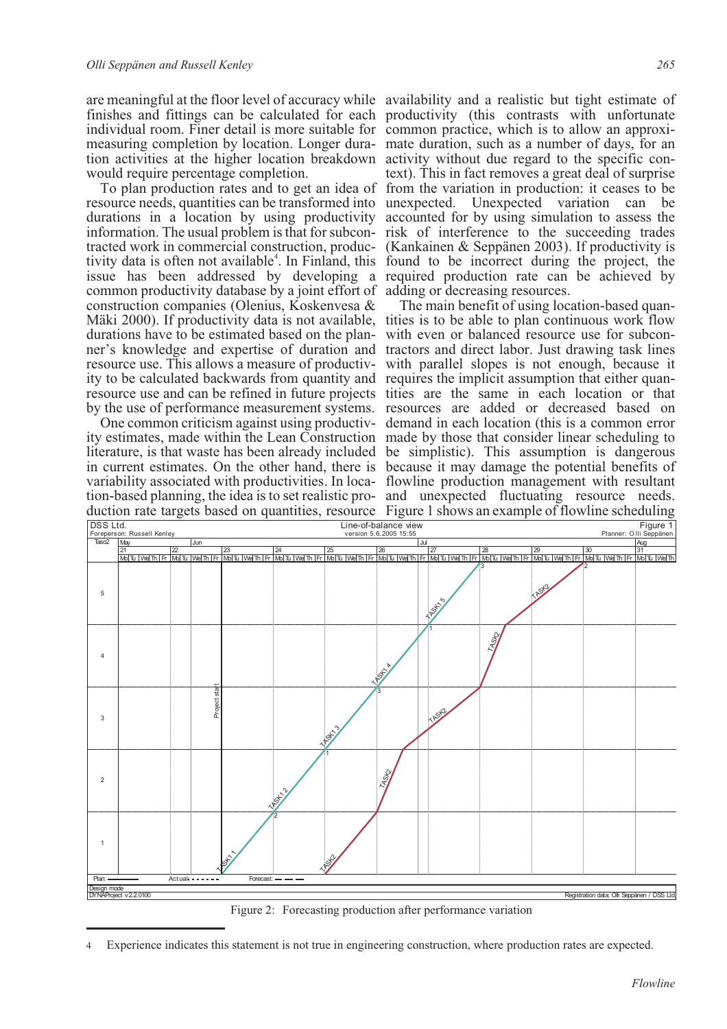are meaningful at the floor level of accuracy while availability and a realistic but tight estimate of finishes and fittings can be calculated for each productivity (this contrasts with unfortunate individual room. Finer detail is more suitable for common practice, which is to allow an approxi-<br>measuring completion by location. Longer dura- mate duration, such as a number of days, for an measuring completion by location. Longer dura-<br>tion activities at the higher location breakdown would require percentage completion.

resource needs, quantities can be transformed into unexpected. Unexpected variation can be durations in a location by using productivity accounted for by using simulation to assess the information. The usual problem is that for subcon-risk of interference to the succeeding trades tracted work in commercial construction, produc- (Kankainen & Seppänen 2003). If productivity is tivity data is often not avai issue has been addressed by developing a required production rate can be achieved by common productivity database by a joint effort of adding or decreasing resources. construction companies (Olenius, Koskenvesa & construction companies (Olenius, Koskenvesa & The main benefit of using location-based quan-<br>Mäki 2000). If productivity data is not available, tities is to be able to plan continuous work flow durations have to be estimated based on the plan- with even or balanced resource use for subcon-<br>ner's knowledge and expertise of duration and tractors and direct labor. Just drawing task lines resource use. This allows a measure of productiv- with parallel slopes is not enough, because it<br>ity to be calculated backwards from quantity and requires the implicit assumption that either quanity to be calculated backwards from quantity and requires the implicit assumption that either quan-<br>resource use and can be refined in future projects tities are the same in each location or that information. The usual problem is that for subcon-risk of interference to the succeeding trades tracted work in commercial construction, produc- (Kankainen & Seppänen 2003). If productivity is

ity estimates, made within the Lean Construction made by those that consider linear scheduling to literature, is that waste has been already included be simplistic). This assumption is dangerous in current estimates. On the other hand, there is because it may damage the potential benefits of variability associated with productivities. In loca-flowline production management with resultant tion-based planning, the idea is to set realistic pro-and unexpected fluctuating resource needs. duction rate targets based on quantities, resource Figure 1 shows an example of flowline scheduling

To plan production rates and to get an idea of from the variation in production: it ceases to be activity without due regard to the specific con- text). This in fact removes a great deal of surprise

by the use of performance measurement systems. resources are added or decreased based on One common criticism against using productiv-demand in each location (this is a common error



Figure 2: Forecasting production after performance variation

Experience indicates this statement is not true in engineering construction, where production rates are expected.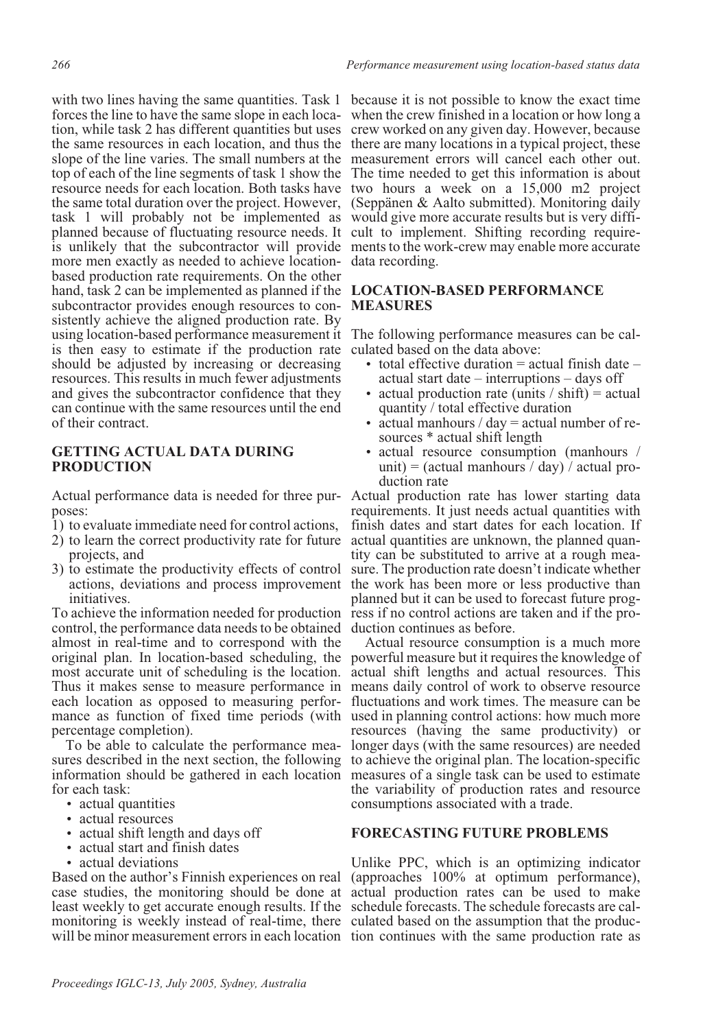with two lines having the same quantities. Task 1 because it is not possible to know the exact time tion, while task 2 has different quantities but uses the same resources in each location, and thus the slope of the line varies. The small numbers at the measurement errors will cancel each other out. top of each of the line segments of task 1 show the resource needs for each location. Both tasks have two hours a week on a 15,000 m2 project the same total duration over the project. However, task 1 will probably not be implemented as would give more accurate results but is very diffiplanned because of fluctuating resource needs. It is unlikely that the subcontractor will provide ments to the work-crew may enable more accurate more men exactly as needed to achieve location-data recording. based production rate requirements. On the other hand, task 2 can be implemented as planned if the **LOCATION-BASED PERFORMANCE** sistently achieve the aligned production rate. By using location-based performance measurement it The following performance measures can be cal-<br>is then easy to estimate if the production rate culated based on the data above: is then easy to estimate if the production rate culated based on the data above: should be adjusted by increasing or decreasing resources. This results in much fewer adjustments and gives the subcontractor confidence that they can continue with the same resources until the end of their contract. forces the line to have the same slope in each loca- when the crew finished in a location or how long a subcontractor provides enough resources to con- **MEASURES** 

### **GETTING ACTUAL DATA DURING PRODUCTION**

poses:

- 1) to evaluate immediate need for control actions,
- 2) to learn the correct productivity rate for future actual quantities are unknown, the planned quanprojects, and
- 3) to estimate the productivity effects of control actions, deviations and process improvement initiatives.

To achieve the information needed for production control, the performance data needs to be obtained almost in real-time and to correspond with the original plan. In location-based scheduling, the most accurate unit of scheduling is the location. Thus it makes sense to measure performance in means daily control of work to observe resource each location as opposed to measuring performance as function of fixed time periods (with used in planning control actions: how much more percentage completion).

To be able to calculate the performance measures described in the next section, the following information should be gathered in each location for each task:

- actual quantities
- actual resources
- actual shift length and days off
- actual start and finish dates
- actual deviations

Based on the author's Finnish experiences on real will be minor measurement errors in each location tion continues with the same production rate as

crew worked on any given day. However, because there are many locations in a typical project, these The time needed to get this information is about (Seppänen & Aalto submitted). Monitoring daily would give more accurate results but is very diffi- cult to implement. Shifting recording require- ments to the work-crew may enable more accurate

- total effective duration  $=$  actual finish date  $$ actual start date – interruptions – days off
- actual production rate (units  $/\sin\theta$ ) = actual quantity / total effective duration
- actual manhours /  $day = actual number of re$ sources \* actual shift length
- actual resource consumption (manhours / unit) = (actual manhours  $\frac{1}{4}$  day)  $\frac{1}{4}$  actual production rate

Actual performance data is needed for three pur-Actual production rate has lower starting data requirements. It just needs actual quantities with finish dates and start dates for each location. If tity can be substituted to arrive at a rough measure. The production rate doesn't indicate whether the work has been more or less productive than planned but it can be used to forecast future progress if no control actions are taken and if the production continues as before.

> Actual resource consumption is a much more powerful measure but it requires the knowledge of actual shift lengths and actual resources. This fluctuations and work times. The measure can be resources (having the same productivity) or longer days (with the same resources) are needed to achieve the original plan. The location-specific measures of a single task can be used to estimate the variability of production rates and resource consumptions associated with a trade.

### **FORECASTING FUTURE PROBLEMS**

case studies, the monitoring should be done at actual production rates can be used to make least weekly to get accurate enough results. If the schedule forecasts. The schedule forecasts are calmonitoring is weekly instead of real-time, there culated based on the assumption that the produc-Unlike PPC, which is an optimizing indicator (approaches 100% at optimum performance),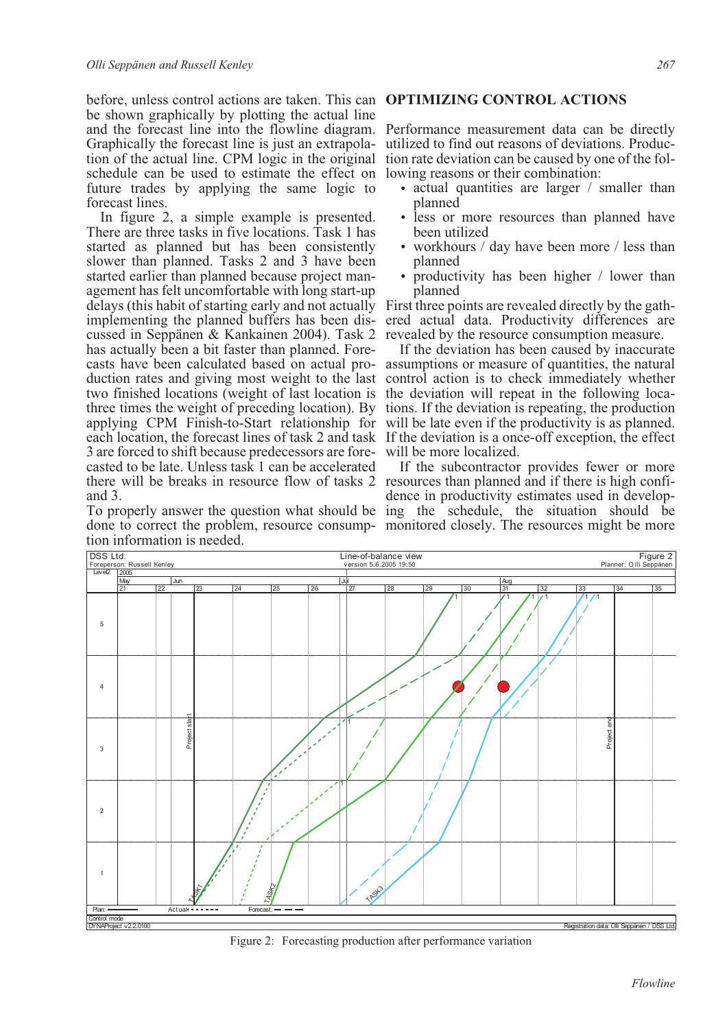before, unless control actions are taken. This can **OPTIMIZING CONTROL ACTIONS** be shown graphically by plotting the actual line and the forecast line into the flowline diagram. Performance measurement data can be directly Graphically the forecast line is just an extrapola- utilized to find out reasons of deviations. Production of the actual line. CPM logic in the original tion rate deviation can be caused by one of the fol-schedule can be u schedule can be used to estimate the effect on lowing reasons or their combination: future trades by applying the same logic to forecast lines.

In figure 2, a simple example is presented. There are three tasks in five locations. Task 1 has started as planned but has been consistently slower than planned. Tasks 2 and 3 have been<br>started earlier than planned because project management has felt uncomfortable with long start-up delays (this habit of starting early and not actually First three points are revealed directly by the gathimplementing the planned buffers has been dis- ered actual data. Productivity differences a cussed in Seppänen & Kankainen 2004). Task 2 revealed by the resource consumption measure. has actually been a bit faster than planned. Fore-<br>casts have been calculated based on actual pro- assumptions or measure of quantities, the natural<br>duction rates and giving most weight to the last control action is to che two finished locations (weight of last location is the deviation will repeat in the following locatwo finished locations (weight of last location is the deviation will repeat in the following loca-<br>three times the weight of preceding location). By tions. If the deviation is repeating, the production applying CPM Finish-to-Start relationship for will be late even if the productivity is as planned. each location, the forecast lines of task 2 and task If the deviation is a once-off exception, the effect 3 are forced to shift because predecessors are forecasted to be late. Unless task 1 can be accelerated there will be breaks in resource flow of tasks 2 resources than planned and if there is high confiand 3. implementing the planned buffers has been dis- ered actual data. Productivity differences are

done to correct the problem, resource consump-monitored closely. The resources might be more tion information is needed.

- actual quantities are larger / smaller than planned
- less or more resources than planned have been utilized
- workhours / day have been more / less than planned
- productivity has been higher / lower than planned

If the deviation has been caused by inaccurate casts have been calculated based on actual pro- assumptions or measure of quantities, the natural will be more localized.

To properly answer the question what should be ing the schedule, the situation should be If the subcontractor provides fewer or more dence in productivity estimates used in develop-



Figure 2: Forecasting production after performance variation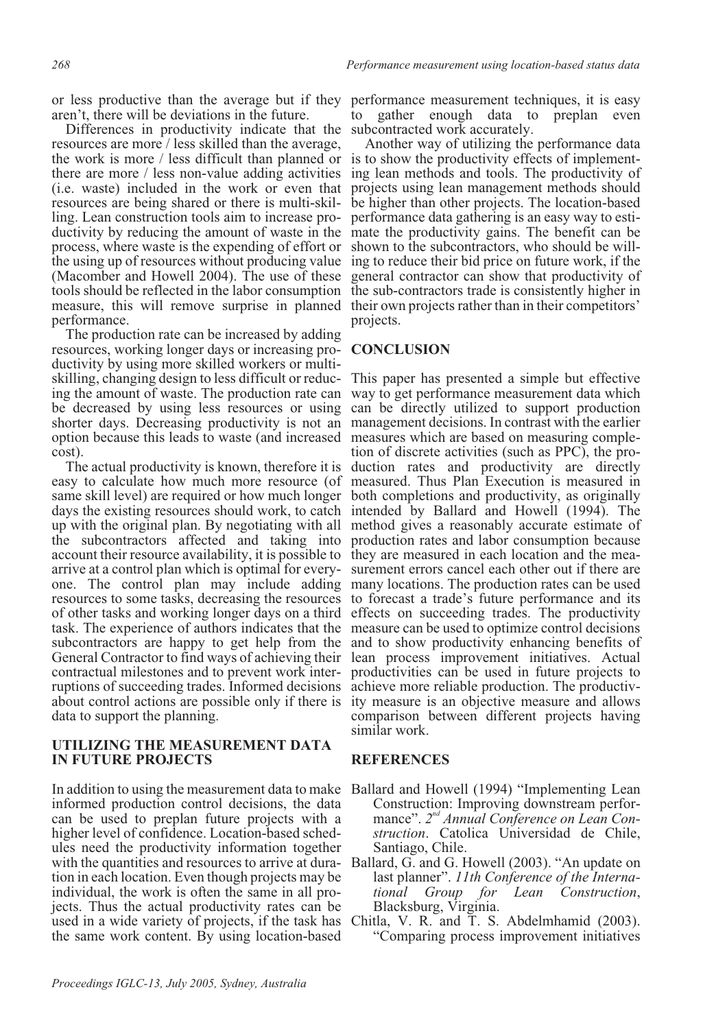aren't, there will be deviations in the future.

Differences in productivity indicate that the subcontracted work accurately. resources are more / less skilled than the average, the work is more / less difficult than planned or is to show the productivity effects of implementthere are more / less non-value adding activities (i.e. waste) included in the work or even that ling. Lean construction tools aim to increase pro-<br>ductivity by reducing the amount of waste in the process, where waste is the expending of effort or the using up of resources without producing value (Macomber and Howell 2004). The use of these tools should be reflected in the labor consumption the sub-contractors trade is consistently higher in measure, this will remove surprise in planned performance.

The production rate can be increased by adding ductivity by using more skilled workers or multiing the amount of waste. The production rate can be decreased by using less resources or using shorter days. Decreasing productivity is not an management decisions. In contrast with the earlier option because this leads to waste (and increased cost). resources, working longer days or increasing pro- **CONCLUSION** 

The actual productivity is known, therefore it is easy to calculate how much more resource (of measured. Thus Plan Execution is measured in same skill level) are required or how much longer both completions and productivity, as originally days the existing resources should work, to catch up with the original plan. By negotiating with all the subcontractors affected and taking into account their resource availability, it is possible to arrive at a control plan which is optimal for everyone. The control plan may include adding many locations. The production rates can be used resources to some tasks, decreasing the resources of other tasks and working longer days on a third task. The experience of authors indicates that the subcontractors are happy to get help from the General Contractor to find ways of achieving their contractual milestones and to prevent work interruptions of succeeding trades. Informed decisions about control actions are possible only if there is ity measure is an objective measure and allows data to support the planning.

### **UTILIZING THE MEASUREMENT DATA IN FUTURE PROJECTS**

In addition to using the measurement data to make Ballard and Howell (1994) "Implementing Lean informed production control decisions, the data can be used to preplan future projects with a higher level of confidence. Location-based schedules need the productivity information together with the quantities and resources to arrive at duration in each location. Even though projects may be individual, the work is often the same in all projects. Thus the actual productivity rates can be used in a wide variety of projects, if the task has the same work content. By using location-based

or less productive than the average but if they performance measurement techniques, it is easy to gather enough data to preplan even

> Another way of utilizing the performance data ing lean methods and tools. The productivity of projects using lean management methods should be higher than other projects. The location-based<br>performance data gathering is an easy way to estimate the productivity gains. The benefit can be shown to the subcontractors, who should be willing to reduce their bid price on future work, if the general contractor can show that productivity of their own projects rather than in their competitors' projects.

skilling, changing design to less difficult or reduc- This paper has presented a simple but effective way to get performance measurement data which can be directly utilized to support production measures which are based on measuring completion of discrete activities (such as PPC), the production rates and productivity are directly intended by Ballard and Howell (1994). The method gives a reasonably accurate estimate of production rates and labor consumption because they are measured in each location and the measurement errors cancel each other out if there are to forecast a trade's future performance and its effects on succeeding trades. The productivity measure can be used to optimize control decisions and to show productivity enhancing benefits of lean process improvement initiatives. Actual productivities can be used in future projects to achieve more reliable production. The productivcomparison between different projects having similar work.

### **REFERENCES**

- Construction: Improving downstream performance". 2<sup>nd</sup> Annual Conference on Lean Con*struction*. Catolica Universidad de Chile, Santiago, Chile.
- Ballard, G. and G. Howell (2003). "An update on last planner". *11th Conference of the International Group for Lean Construction*, Blacksburg, Virginia.
- Chitla, V. R. and T. S. Abdelmhamid (2003). "Comparing process improvement initiatives